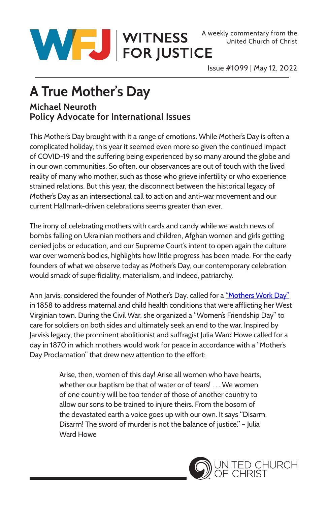

United Church of Christ

Issue #1099 | May 12, 2022

## **A True Mother's Day**

## **Michael Neuroth Policy Advocate for International Issues**

This Mother's Day brought with it a range of emotions. While Mother's Day is often a complicated holiday, this year it seemed even more so given the continued impact of COVID-19 and the suffering being experienced by so many around the globe and in our own communities. So often, our observances are out of touch with the lived reality of many who mother, such as those who grieve infertility or who experience strained relations. But this year, the disconnect between the historical legacy of Mother's Day as an intersectional call to action and anti-war movement and our current Hallmark-driven celebrations seems greater than ever.

The irony of celebrating mothers with cards and candy while we watch news of bombs falling on Ukrainian mothers and children, Afghan women and girls getting denied jobs or education, and our Supreme Court's intent to open again the culture war over women's bodies, highlights how little progress has been made. For the early founders of what we observe today as Mother's Day, our contemporary celebration would smack of superficiality, materialism, and indeed, patriarchy.

Ann Jarvis, considered the founder of Mother's Day, called for a ["Mothers Work Day"](https://peacealliance.org/history-of-mothers-day-as-a-day-of-peace-julia-ward-howe/) in 1858 to address maternal and child health conditions that were afflicting her West Virginian town. During the Civil War, she organized a "Women's Friendship Day" to care for soldiers on both sides and ultimately seek an end to the war. Inspired by Jarvis's legacy, the prominent abolitionist and suffragist Julia Ward Howe called for a day in 1870 in which mothers would work for peace in accordance with a "Mother's Day Proclamation" that drew new attention to the effort:

> Arise, then, women of this day! Arise all women who have hearts, whether our baptism be that of water or of tears! . . . We women of one country will be too tender of those of another country to allow our sons to be trained to injure theirs. From the bosom of the devastated earth a voice goes up with our own. It says "Disarm, Disarm! The sword of murder is not the balance of justice." – Julia Ward Howe